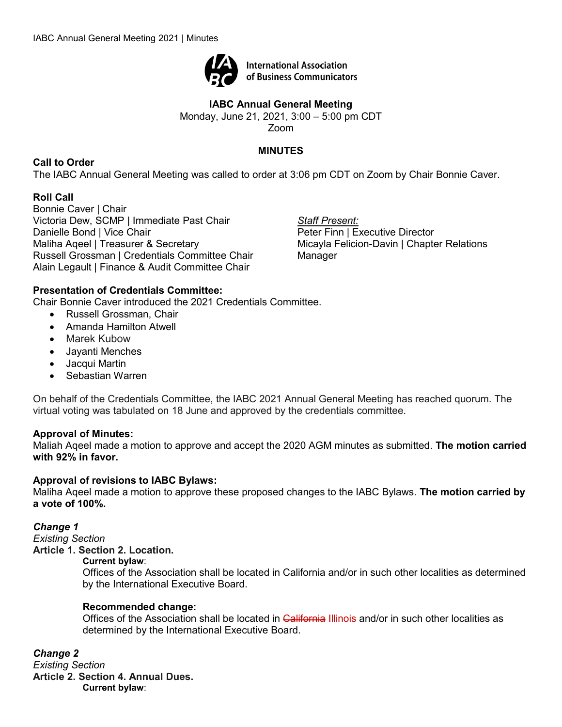

**International Association** of Business Communicators

# **IABC Annual General Meeting**

Monday, June 21, 2021, 3:00 – 5:00 pm CDT

Zoom

# **MINUTES**

**Call to Order**

The IABC Annual General Meeting was called to order at 3:06 pm CDT on Zoom by Chair Bonnie Caver.

# **Roll Call**

Bonnie Caver | Chair Victoria Dew, SCMP | Immediate Past Chair Danielle Bond | Vice Chair Maliha Aqeel | Treasurer & Secretary Russell Grossman | Credentials Committee Chair Alain Legault | Finance & Audit Committee Chair

*Staff Present:* Peter Finn | Executive Director Micayla Felicion-Davin | Chapter Relations Manager

# **Presentation of Credentials Committee:**

Chair Bonnie Caver introduced the 2021 Credentials Committee.

- Russell Grossman, Chair
- Amanda Hamilton Atwell
- Marek Kubow
- Jayanti Menches
- Jacqui Martin
- Sebastian Warren

On behalf of the Credentials Committee, the IABC 2021 Annual General Meeting has reached quorum. The virtual voting was tabulated on 18 June and approved by the credentials committee.

## **Approval of Minutes:**

Maliah Aqeel made a motion to approve and accept the 2020 AGM minutes as submitted. **The motion carried with 92% in favor.** 

## **Approval of revisions to IABC Bylaws:**

Maliha Aqeel made a motion to approve these proposed changes to the IABC Bylaws. **The motion carried by a vote of 100%.**

## *Change 1*

*Existing Section* **Article 1. Section 2. Location.**

### **Current bylaw**:

Offices of the Association shall be located in California and/or in such other localities as determined by the International Executive Board.

## **Recommended change:**

Offices of the Association shall be located in California Illinois and/or in such other localities as determined by the International Executive Board.

*Change 2 Existing Section* **Article 2. Section 4. Annual Dues. Current bylaw**: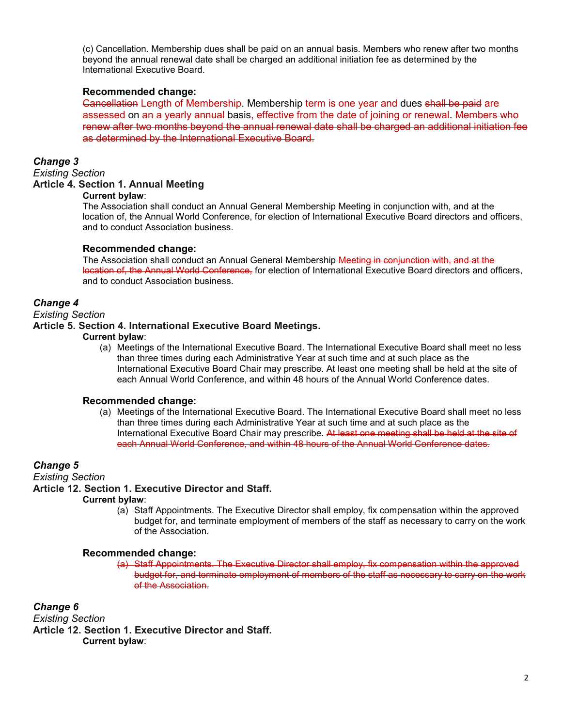(c) Cancellation. Membership dues shall be paid on an annual basis. Members who renew after two months beyond the annual renewal date shall be charged an additional initiation fee as determined by the International Executive Board.

### **Recommended change:**

Cancellation Length of Membership. Membership term is one year and dues shall be paid are assessed on an a yearly annual basis, effective from the date of joining or renewal. Members who renew after two months beyond the annual renewal date shall be charged an additional initiation fee as determined by the International Executive Board.

### *Change 3*

#### *Existing Section* **Article 4. Section 1. Annual Meeting**

#### **Current bylaw**:

The Association shall conduct an Annual General Membership Meeting in conjunction with, and at the location of, the Annual World Conference, for election of International Executive Board directors and officers, and to conduct Association business.

### **Recommended change:**

The Association shall conduct an Annual General Membership Meeting in conjunction with, and at the location of, the Annual World Conference, for election of International Executive Board directors and officers, and to conduct Association business.

### *Change 4*

#### *Existing Section*

### **Article 5. Section 4. International Executive Board Meetings.**

#### **Current bylaw**:

(a) Meetings of the International Executive Board. The International Executive Board shall meet no less than three times during each Administrative Year at such time and at such place as the International Executive Board Chair may prescribe. At least one meeting shall be held at the site of each Annual World Conference, and within 48 hours of the Annual World Conference dates.

### **Recommended change:**

(a) Meetings of the International Executive Board. The International Executive Board shall meet no less than three times during each Administrative Year at such time and at such place as the International Executive Board Chair may prescribe. At least one meeting shall be held at the site of each Annual World Conference, and within 48 hours of the Annual World Conference dates.

### *Change 5*

*Existing Section*

### **Article 12. Section 1. Executive Director and Staff.**

#### **Current bylaw**:

(a) Staff Appointments. The Executive Director shall employ, fix compensation within the approved budget for, and terminate employment of members of the staff as necessary to carry on the work of the Association.

### **Recommended change:**

(a) Staff Appointments. The Executive Director shall employ, fix compensation within the approved budget for, and terminate employment of members of the staff as necessary to carry on the work of the Association.

*Change 6*

*Existing Section* **Article 12. Section 1. Executive Director and Staff. Current bylaw**: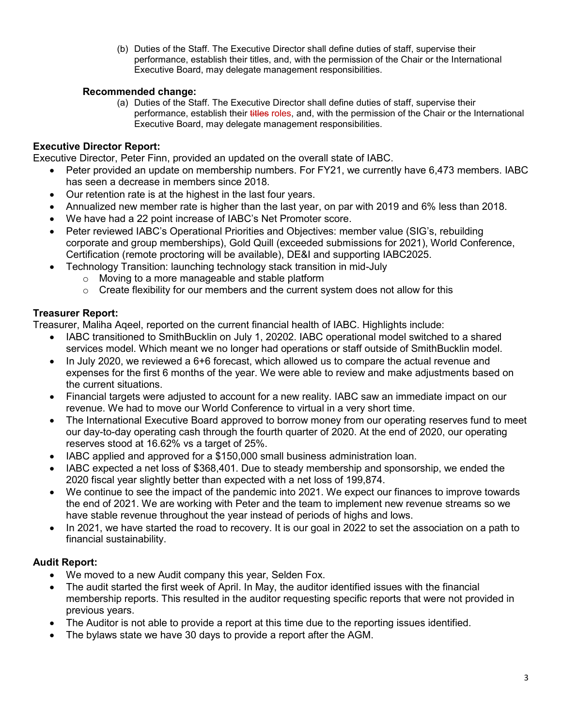(b) Duties of the Staff. The Executive Director shall define duties of staff, supervise their performance, establish their titles, and, with the permission of the Chair or the International Executive Board, may delegate management responsibilities.

### **Recommended change:**

(a) Duties of the Staff. The Executive Director shall define duties of staff, supervise their performance, establish their titles roles, and, with the permission of the Chair or the International Executive Board, may delegate management responsibilities.

### **Executive Director Report:**

Executive Director, Peter Finn, provided an updated on the overall state of IABC.

- Peter provided an update on membership numbers. For FY21, we currently have 6,473 members. IABC has seen a decrease in members since 2018.
- Our retention rate is at the highest in the last four years.
- Annualized new member rate is higher than the last year, on par with 2019 and 6% less than 2018.
- We have had a 22 point increase of IABC's Net Promoter score.
- Peter reviewed IABC's Operational Priorities and Objectives: member value (SIG's, rebuilding corporate and group memberships), Gold Quill (exceeded submissions for 2021), World Conference, Certification (remote proctoring will be available), DE&I and supporting IABC2025.
- Technology Transition: launching technology stack transition in mid-July
	- o Moving to a more manageable and stable platform
	- $\circ$  Create flexibility for our members and the current system does not allow for this

## **Treasurer Report:**

Treasurer, Maliha Aqeel, reported on the current financial health of IABC. Highlights include:

- IABC transitioned to SmithBucklin on July 1, 20202. IABC operational model switched to a shared services model. Which meant we no longer had operations or staff outside of SmithBucklin model.
- In July 2020, we reviewed a 6+6 forecast, which allowed us to compare the actual revenue and expenses for the first 6 months of the year. We were able to review and make adjustments based on the current situations.
- Financial targets were adjusted to account for a new reality. IABC saw an immediate impact on our revenue. We had to move our World Conference to virtual in a very short time.
- The International Executive Board approved to borrow money from our operating reserves fund to meet our day-to-day operating cash through the fourth quarter of 2020. At the end of 2020, our operating reserves stood at 16.62% vs a target of 25%.
- IABC applied and approved for a \$150,000 small business administration loan.
- IABC expected a net loss of \$368,401. Due to steady membership and sponsorship, we ended the 2020 fiscal year slightly better than expected with a net loss of 199,874.
- We continue to see the impact of the pandemic into 2021. We expect our finances to improve towards the end of 2021. We are working with Peter and the team to implement new revenue streams so we have stable revenue throughout the year instead of periods of highs and lows.
- In 2021, we have started the road to recovery. It is our goal in 2022 to set the association on a path to financial sustainability.

## **Audit Report:**

- We moved to a new Audit company this year, Selden Fox.
- The audit started the first week of April. In May, the auditor identified issues with the financial membership reports. This resulted in the auditor requesting specific reports that were not provided in previous years.
- The Auditor is not able to provide a report at this time due to the reporting issues identified.
- The bylaws state we have 30 days to provide a report after the AGM.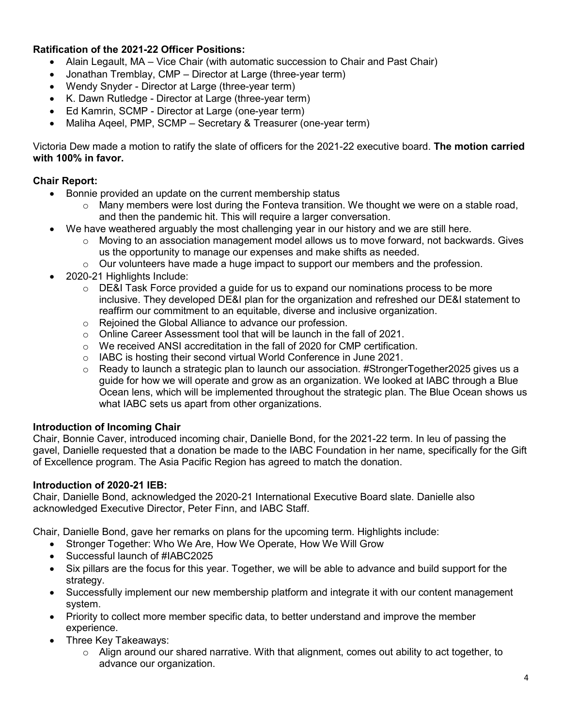## **Ratification of the 2021-22 Officer Positions:**

- Alain Legault, MA Vice Chair (with automatic succession to Chair and Past Chair)
- Jonathan Tremblay, CMP Director at Large (three-year term)
- Wendy Snyder Director at Large (three-year term)
- K. Dawn Rutledge Director at Large (three-year term)
- Ed Kamrin, SCMP Director at Large (one-year term)
- Maliha Aqeel, PMP, SCMP Secretary & Treasurer (one-year term)

Victoria Dew made a motion to ratify the slate of officers for the 2021-22 executive board. **The motion carried with 100% in favor.** 

# **Chair Report:**

- Bonnie provided an update on the current membership status
	- $\circ$  Many members were lost during the Fonteva transition. We thought we were on a stable road, and then the pandemic hit. This will require a larger conversation.
- We have weathered arguably the most challenging year in our history and we are still here.
	- $\circ$  Moving to an association management model allows us to move forward, not backwards. Gives us the opportunity to manage our expenses and make shifts as needed.
	- $\circ$  Our volunteers have made a huge impact to support our members and the profession.
- 2020-21 Highlights Include:
	- $\circ$  DE&I Task Force provided a quide for us to expand our nominations process to be more inclusive. They developed DE&I plan for the organization and refreshed our DE&I statement to reaffirm our commitment to an equitable, diverse and inclusive organization.
	- o Rejoined the Global Alliance to advance our profession.
	- $\circ$  Online Career Assessment tool that will be launch in the fall of 2021.
	- $\circ$  We received ANSI accreditation in the fall of 2020 for CMP certification.
	- $\circ$  IABC is hosting their second virtual World Conference in June 2021.
	- $\circ$  Ready to launch a strategic plan to launch our association. #StrongerTogether2025 gives us a guide for how we will operate and grow as an organization. We looked at IABC through a Blue Ocean lens, which will be implemented throughout the strategic plan. The Blue Ocean shows us what IABC sets us apart from other organizations.

## **Introduction of Incoming Chair**

Chair, Bonnie Caver, introduced incoming chair, Danielle Bond, for the 2021-22 term. In leu of passing the gavel, Danielle requested that a donation be made to the IABC Foundation in her name, specifically for the Gift of Excellence program. The Asia Pacific Region has agreed to match the donation.

## **Introduction of 2020-21 IEB:**

Chair, Danielle Bond, acknowledged the 2020-21 International Executive Board slate. Danielle also acknowledged Executive Director, Peter Finn, and IABC Staff.

Chair, Danielle Bond, gave her remarks on plans for the upcoming term. Highlights include:

- Stronger Together: Who We Are, How We Operate, How We Will Grow
- Successful launch of #IABC2025
- Six pillars are the focus for this year. Together, we will be able to advance and build support for the strategy.
- Successfully implement our new membership platform and integrate it with our content management system.
- Priority to collect more member specific data, to better understand and improve the member experience.
- Three Key Takeaways:
	- $\circ$  Align around our shared narrative. With that alignment, comes out ability to act together, to advance our organization.